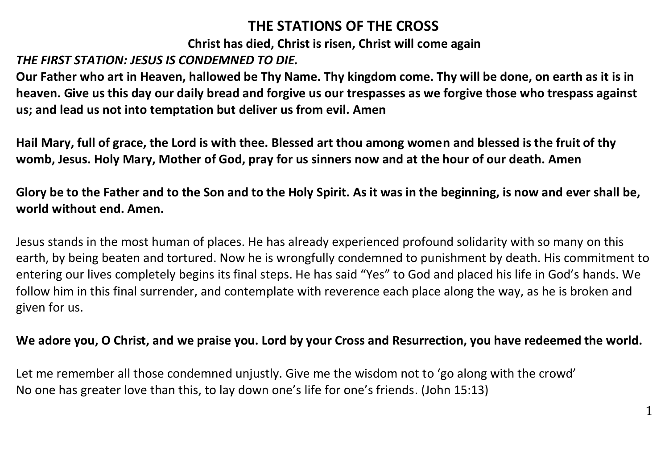# **THE STATIONS OF THE CROSS**

**Christ has died, Christ is risen, Christ will come again**

## *THE FIRST STATION: JESUS IS CONDEMNED TO DIE.*

**Our Father who art in Heaven, hallowed be Thy Name. Thy kingdom come. Thy will be done, on earth as it is in heaven. Give us this day our daily bread and forgive us our trespasses as we forgive those who trespass against us; and lead us not into temptation but deliver us from evil. Amen**

**Hail Mary, full of grace, the Lord is with thee. Blessed art thou among women and blessed is the fruit of thy womb, Jesus. Holy Mary, Mother of God, pray for us sinners now and at the hour of our death. Amen**

**Glory be to the Father and to the Son and to the Holy Spirit. As it was in the beginning, is now and ever shall be, world without end. Amen.**

Jesus stands in the most human of places. He has already experienced profound solidarity with so many on this earth, by being beaten and tortured. Now he is wrongfully condemned to punishment by death. His commitment to entering our lives completely begins its final steps. He has said "Yes" to God and placed his life in God's hands. We follow him in this final surrender, and contemplate with reverence each place along the way, as he is broken and given for us.

#### **We adore you, O Christ, and we praise you. Lord by your Cross and Resurrection, you have redeemed the world.**

Let me remember all those condemned unjustly. Give me the wisdom not to 'go along with the crowd' No one has greater love than this, to lay down one's life for one's friends. (John 15:13)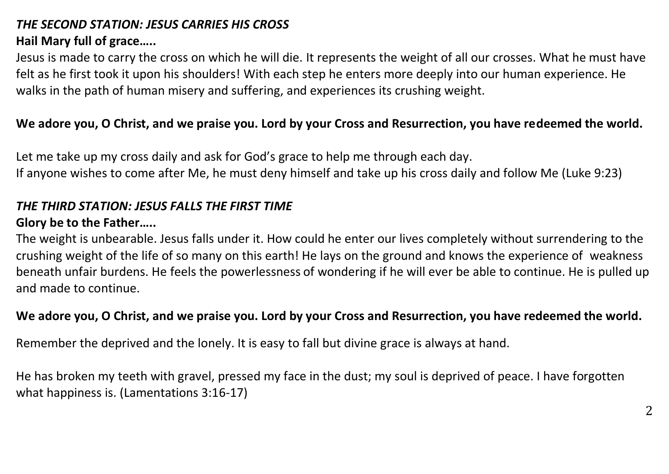# *THE SECOND STATION: JESUS CARRIES HIS CROSS*

## **Hail Mary full of grace…..**

Jesus is made to carry the cross on which he will die. It represents the weight of all our crosses. What he must have felt as he first took it upon his shoulders! With each step he enters more deeply into our human experience. He walks in the path of human misery and suffering, and experiences its crushing weight.

## **We adore you, O Christ, and we praise you. Lord by your Cross and Resurrection, you have redeemed the world.**

Let me take up my cross daily and ask for God's grace to help me through each day. If anyone wishes to come after Me, he must deny himself and take up his cross daily and follow Me (Luke 9:23)

#### *THE THIRD STATION: JESUS FALLS THE FIRST TIME*

### **Glory be to the Father…..**

The weight is unbearable. Jesus falls under it. How could he enter our lives completely without surrendering to the crushing weight of the life of so many on this earth! He lays on the ground and knows the experience of weakness beneath unfair burdens. He feels the powerlessness of wondering if he will ever be able to continue. He is pulled up and made to continue.

### **We adore you, O Christ, and we praise you. Lord by your Cross and Resurrection, you have redeemed the world.**

Remember the deprived and the lonely. It is easy to fall but divine grace is always at hand.

He has broken my teeth with gravel, pressed my face in the dust; my soul is deprived of peace. I have forgotten what happiness is. (Lamentations 3:16-17)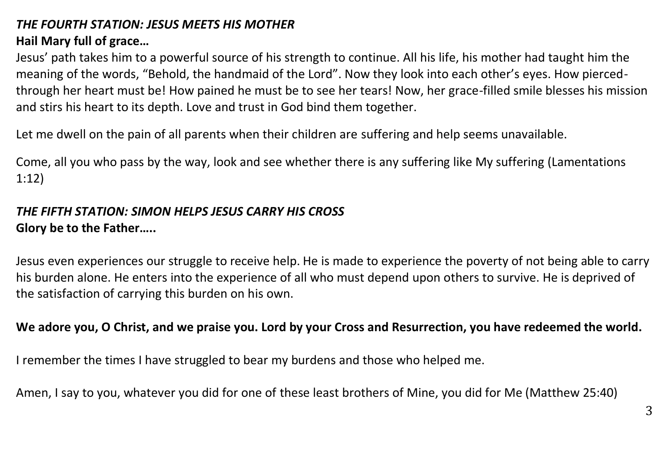# *THE FOURTH STATION: JESUS MEETS HIS MOTHER*

# **Hail Mary full of grace…**

Jesus' path takes him to a powerful source of his strength to continue. All his life, his mother had taught him the meaning of the words, "Behold, the handmaid of the Lord". Now they look into each other's eyes. How piercedthrough her heart must be! How pained he must be to see her tears! Now, her grace-filled smile blesses his mission and stirs his heart to its depth. Love and trust in God bind them together.

Let me dwell on the pain of all parents when their children are suffering and help seems unavailable.

Come, all you who pass by the way, look and see whether there is any suffering like My suffering (Lamentations 1:12)

## *THE FIFTH STATION: SIMON HELPS JESUS CARRY HIS CROSS* **Glory be to the Father…..**

Jesus even experiences our struggle to receive help. He is made to experience the poverty of not being able to carry his burden alone. He enters into the experience of all who must depend upon others to survive. He is deprived of the satisfaction of carrying this burden on his own.

## **We adore you, O Christ, and we praise you. Lord by your Cross and Resurrection, you have redeemed the world.**

I remember the times I have struggled to bear my burdens and those who helped me.

Amen, I say to you, whatever you did for one of these least brothers of Mine, you did for Me (Matthew 25:40)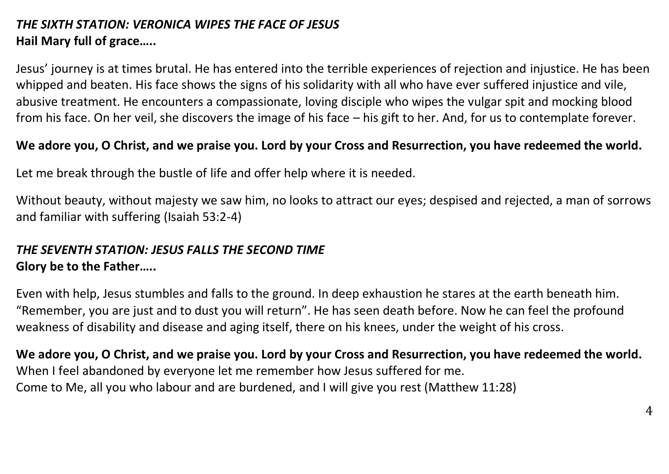# *THE SIXTH STATION: VERONICA WIPES THE FACE OF JESUS* **Hail Mary full of grace…..**

Jesus' journey is at times brutal. He has entered into the terrible experiences of rejection and injustice. He has been whipped and beaten. His face shows the signs of his solidarity with all who have ever suffered injustice and vile, abusive treatment. He encounters a compassionate, loving disciple who wipes the vulgar spit and mocking blood from his face. On her veil, she discovers the image of his face – his gift to her. And, for us to contemplate forever.

#### **We adore you, O Christ, and we praise you. Lord by your Cross and Resurrection, you have redeemed the world.**

Let me break through the bustle of life and offer help where it is needed.

Without beauty, without majesty we saw him, no looks to attract our eyes; despised and rejected, a man of sorrows and familiar with suffering (Isaiah 53:2-4)

### *THE SEVENTH STATION: JESUS FALLS THE SECOND TIME* **Glory be to the Father…..**

Even with help, Jesus stumbles and falls to the ground. In deep exhaustion he stares at the earth beneath him. "Remember, you are just and to dust you will return". He has seen death before. Now he can feel the profound weakness of disability and disease and aging itself, there on his knees, under the weight of his cross.

**We adore you, O Christ, and we praise you. Lord by your Cross and Resurrection, you have redeemed the world.** When I feel abandoned by everyone let me remember how Jesus suffered for me. Come to Me, all you who labour and are burdened, and I will give you rest (Matthew 11:28)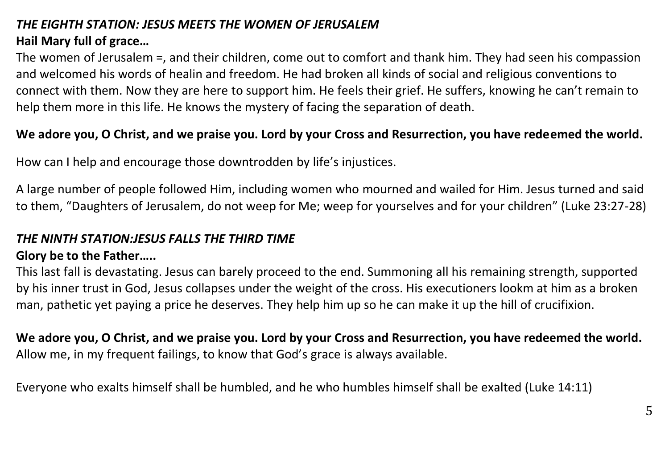## *THE EIGHTH STATION: JESUS MEETS THE WOMEN OF JERUSALEM* **Hail Mary full of grace…**

The women of Jerusalem =, and their children, come out to comfort and thank him. They had seen his compassion and welcomed his words of healin and freedom. He had broken all kinds of social and religious conventions to connect with them. Now they are here to support him. He feels their grief. He suffers, knowing he can't remain to help them more in this life. He knows the mystery of facing the separation of death.

### **We adore you, O Christ, and we praise you. Lord by your Cross and Resurrection, you have redeemed the world.**

How can I help and encourage those downtrodden by life's injustices.

A large number of people followed Him, including women who mourned and wailed for Him. Jesus turned and said to them, "Daughters of Jerusalem, do not weep for Me; weep for yourselves and for your children" (Luke 23:27-28)

# *THE NINTH STATION:JESUS FALLS THE THIRD TIME*

### **Glory be to the Father…..**

This last fall is devastating. Jesus can barely proceed to the end. Summoning all his remaining strength, supported by his inner trust in God, Jesus collapses under the weight of the cross. His executioners lookm at him as a broken man, pathetic yet paying a price he deserves. They help him up so he can make it up the hill of crucifixion.

**We adore you, O Christ, and we praise you. Lord by your Cross and Resurrection, you have redeemed the world.** Allow me, in my frequent failings, to know that God's grace is always available.

Everyone who exalts himself shall be humbled, and he who humbles himself shall be exalted (Luke 14:11)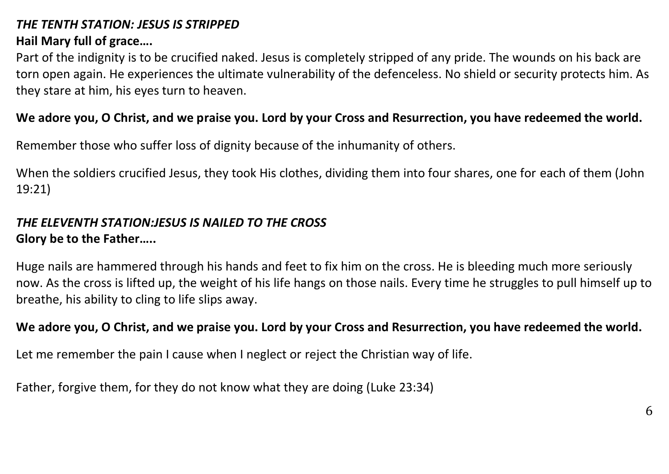## *THE TENTH STATION: JESUS IS STRIPPED*

## **Hail Mary full of grace….**

Part of the indignity is to be crucified naked. Jesus is completely stripped of any pride. The wounds on his back are torn open again. He experiences the ultimate vulnerability of the defenceless. No shield or security protects him. As they stare at him, his eyes turn to heaven.

## **We adore you, O Christ, and we praise you. Lord by your Cross and Resurrection, you have redeemed the world.**

Remember those who suffer loss of dignity because of the inhumanity of others.

When the soldiers crucified Jesus, they took His clothes, dividing them into four shares, one for each of them (John 19:21)

# *THE ELEVENTH STATION:JESUS IS NAILED TO THE CROSS*

### **Glory be to the Father…..**

Huge nails are hammered through his hands and feet to fix him on the cross. He is bleeding much more seriously now. As the cross is lifted up, the weight of his life hangs on those nails. Every time he struggles to pull himself up to breathe, his ability to cling to life slips away.

## **We adore you, O Christ, and we praise you. Lord by your Cross and Resurrection, you have redeemed the world.**

Let me remember the pain I cause when I neglect or reject the Christian way of life.

Father, forgive them, for they do not know what they are doing (Luke 23:34)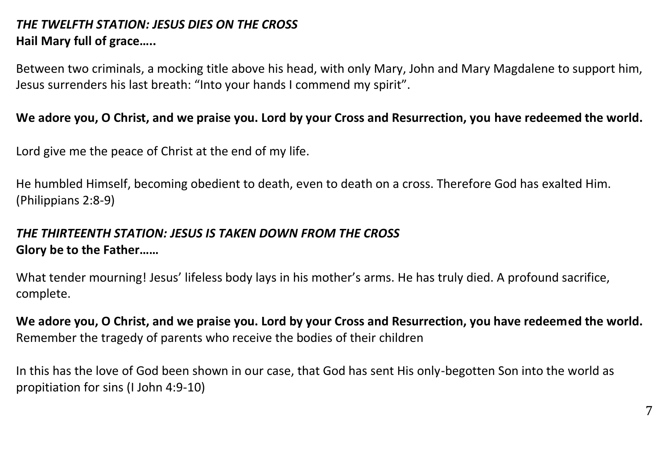# *THE TWELFTH STATION: JESUS DIES ON THE CROSS* **Hail Mary full of grace…..**

Between two criminals, a mocking title above his head, with only Mary, John and Mary Magdalene to support him, Jesus surrenders his last breath: "Into your hands I commend my spirit".

#### **We adore you, O Christ, and we praise you. Lord by your Cross and Resurrection, you have redeemed the world.**

Lord give me the peace of Christ at the end of my life.

He humbled Himself, becoming obedient to death, even to death on a cross. Therefore God has exalted Him. (Philippians 2:8-9)

#### *THE THIRTEENTH STATION: JESUS IS TAKEN DOWN FROM THE CROSS* **Glory be to the Father……**

What tender mourning! Jesus' lifeless body lays in his mother's arms. He has truly died. A profound sacrifice, complete.

**We adore you, O Christ, and we praise you. Lord by your Cross and Resurrection, you have redeemed the world.** Remember the tragedy of parents who receive the bodies of their children

In this has the love of God been shown in our case, that God has sent His only-begotten Son into the world as propitiation for sins (I John 4:9-10)